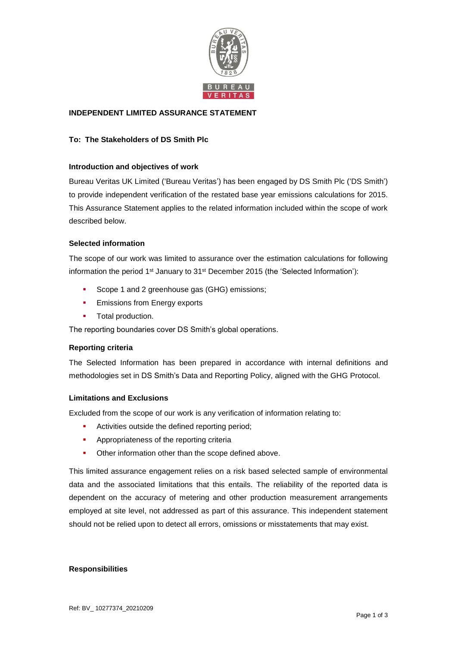

## **INDEPENDENT LIMITED ASSURANCE STATEMENT**

# **To: The Stakeholders of DS Smith Plc**

## **Introduction and objectives of work**

Bureau Veritas UK Limited ('Bureau Veritas') has been engaged by DS Smith Plc ('DS Smith') to provide independent verification of the restated base year emissions calculations for 2015. This Assurance Statement applies to the related information included within the scope of work described below.

## **Selected information**

The scope of our work was limited to assurance over the estimation calculations for following information the period 1<sup>st</sup> January to 31<sup>st</sup> December 2015 (the 'Selected Information'):

- Scope 1 and 2 greenhouse gas (GHG) emissions;
- **Emissions from Energy exports**
- **Total production.**

The reporting boundaries cover DS Smith's global operations.

## **Reporting criteria**

The Selected Information has been prepared in accordance with internal definitions and methodologies set in DS Smith's Data and Reporting Policy, aligned with the GHG Protocol.

## **Limitations and Exclusions**

Excluded from the scope of our work is any verification of information relating to:

- Activities outside the defined reporting period;
- Appropriateness of the reporting criteria
- Other information other than the scope defined above.

This limited assurance engagement relies on a risk based selected sample of environmental data and the associated limitations that this entails. The reliability of the reported data is dependent on the accuracy of metering and other production measurement arrangements employed at site level, not addressed as part of this assurance. This independent statement should not be relied upon to detect all errors, omissions or misstatements that may exist.

## **Responsibilities**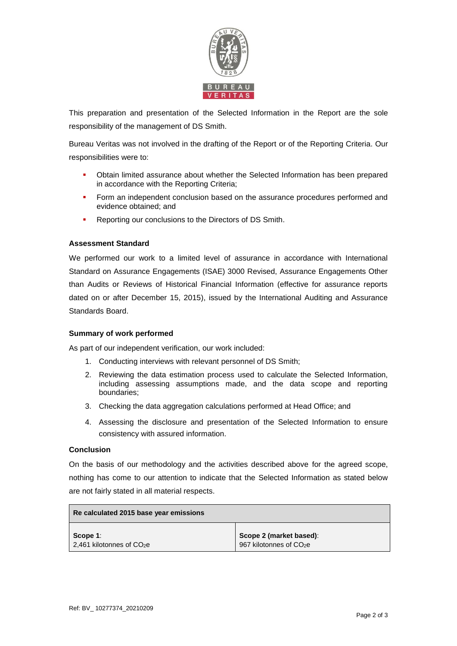

This preparation and presentation of the Selected Information in the Report are the sole responsibility of the management of DS Smith.

Bureau Veritas was not involved in the drafting of the Report or of the Reporting Criteria. Our responsibilities were to:

- Obtain limited assurance about whether the Selected Information has been prepared in accordance with the Reporting Criteria;
- Form an independent conclusion based on the assurance procedures performed and evidence obtained; and
- Reporting our conclusions to the Directors of DS Smith.

#### **Assessment Standard**

We performed our work to a limited level of assurance in accordance with International Standard on Assurance Engagements (ISAE) 3000 Revised, Assurance Engagements Other than Audits or Reviews of Historical Financial Information (effective for assurance reports dated on or after December 15, 2015), issued by the International Auditing and Assurance Standards Board.

#### **Summary of work performed**

As part of our independent verification, our work included:

- 1. Conducting interviews with relevant personnel of DS Smith;
- 2. Reviewing the data estimation process used to calculate the Selected Information, including assessing assumptions made, and the data scope and reporting boundaries;
- 3. Checking the data aggregation calculations performed at Head Office; and
- 4. Assessing the disclosure and presentation of the Selected Information to ensure consistency with assured information.

#### **Conclusion**

On the basis of our methodology and the activities described above for the agreed scope, nothing has come to our attention to indicate that the Selected Information as stated below are not fairly stated in all material respects.

| Re calculated 2015 base year emissions        |                                     |
|-----------------------------------------------|-------------------------------------|
| Scope 1:                                      | Scope 2 (market based):             |
| $\vert$ 2,461 kilotonnes of CO <sub>2</sub> e | 967 kilotonnes of CO <sub>2</sub> e |